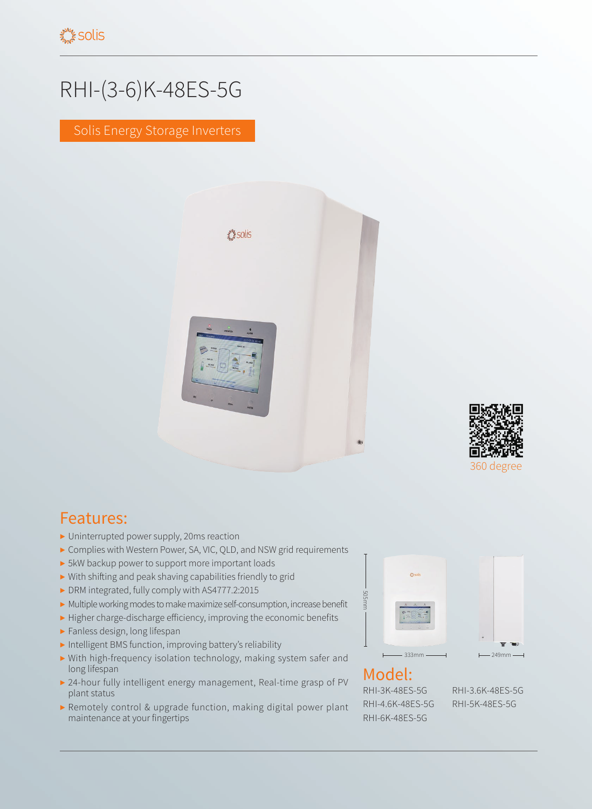## RHI-(3-6)K-48ES-5G

Solis Energy Storage Inverters





## Features:

- ▶ Uninterrupted power supply, 20ms reaction
- ▶ Complies with Western Power, SA, VIC, QLD, and NSW grid requirements
- ▶ 5kW backup power to support more important loads
- ▶ With shifting and peak shaving capabilities friendly to grid
- ▶ DRM integrated, fully comply with AS4777.2:2015
- ▶ Multiple working modes to make maximize self-consumption, increase benefit
- ▶ Higher charge-discharge efficiency, improving the economic benefits
- ▶ Fanless design, long lifespan
- ▶ Intelligent BMS function, improving battery's reliability
- ▶ With high-frequency isolation technology, making system safer and long lifespan
- ▶ 24-hour fully intelligent energy management, Real-time grasp of PV plant status
- ▶ Remotely control & upgrade function, making digital power plant maintenance at your fingertips





RHI-3K-48ES-5G RHI-3.6K-48ES-5G RHI-4.6K-48ES-5G RHI-5K-48ES-5G RHI-6K-48ES-5G

÷  $\mathbf{w}$